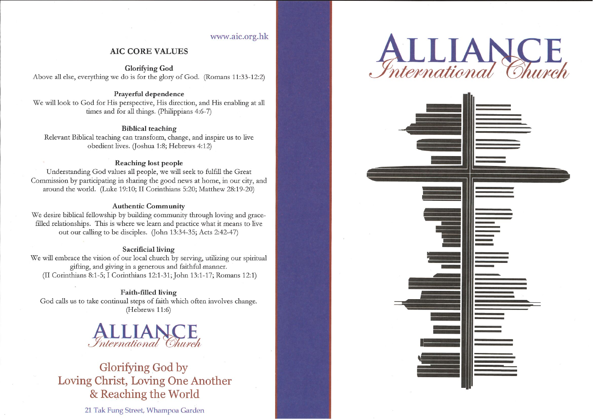# www.aic.org.hk

# **AIC CORE VALUES**

**Glorifying God** Above all else, everything we do is for the glory of God. (Romans 11:33-12:2)

#### Prayerful dependence

We will look to God for His perspective, His direction, and His enabling at all times and for all things. (Philippians 4:6-7)

#### **Biblical teaching**

Relevant Biblical teaching can transform, change, and inspire us to live obedient lives. (Joshua 1:8; Hebrews 4:12)

#### Reaching lost people

Understanding God values all people, we will seek to fulfill the Great Commission by participating in sharing the good news at home, in our city, and around the world. (Luke 19:10; II Corinthians 5:20; Matthew 28:19-20)

#### **Authentic Community**

We desire biblical fellowship by building community through loving and gracefilled relationships. This is where we learn and practice what it means to live out our calling to be disciples. (John 13:34-35; Acts 2:42-47)

#### **Sacrificial living**

We will embrace the vision of our local church by serving, utilizing our spiritual gifting, and giving in a generous and faithful manner. (II Corinthians 8:1-5; I Corinthians 12:1-31; John 13:1-17; Romans 12:1)

Faith-filled living God calls us to take continual steps of faith which often involves change. (Hebrews 11:6)

# International Church

# Glorifying God by Loving Christ, Loving One Another & Reaching the World

21 Tak Fung Street, Whampoa Garden